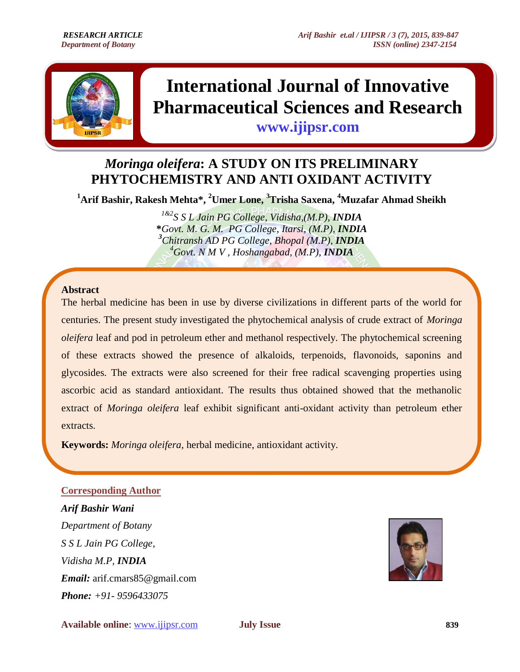

# **International Journal of Innovative Pharmaceutical Sciences and Research**

**www.ijipsr.com**

# *Moringa oleifera***: A STUDY ON ITS PRELIMINARY PHYTOCHEMISTRY AND ANTI OXIDANT ACTIVITY**

Ī

**<sup>1</sup>Arif Bashir, Rakesh Mehta\*, <sup>2</sup>Umer Lone, <sup>3</sup>Trisha Saxena, <sup>4</sup>Muzafar Ahmad Sheikh**

*1&2S S L Jain PG College, Vidisha,(M.P), INDIA* **\****Govt. M. G. M. PG College, Itarsi, (M.P), INDIA <sup>3</sup>Chitransh AD PG College, Bhopal (M.P), INDIA <sup>4</sup>Govt. N M V , Hoshangabad, (M.P), INDIA*

#### **Abstract**

The herbal medicine has been in use by diverse civilizations in different parts of the world for centuries. The present study investigated the phytochemical analysis of crude extract of *Moringa oleifera* leaf and pod in petroleum ether and methanol respectively. The phytochemical screening of these extracts showed the presence of alkaloids, terpenoids, flavonoids, saponins and glycosides. The extracts were also screened for their free radical scavenging properties using ascorbic acid as standard antioxidant. The results thus obtained showed that the methanolic extract of *Moringa oleifera* leaf exhibit significant anti-oxidant activity than petroleum ether extracts.

**Keywords:** *Moringa oleifera,* herbal medicine, antioxidant activity.

## **Corresponding Author**

*Arif Bashir Wani Department of Botany S S L Jain PG College, Vidisha M.P, INDIA Email:* [arif.cmars85@gmail.com](mailto:arif.cmars85@gmail.com) *Phone: +91- 9596433075*

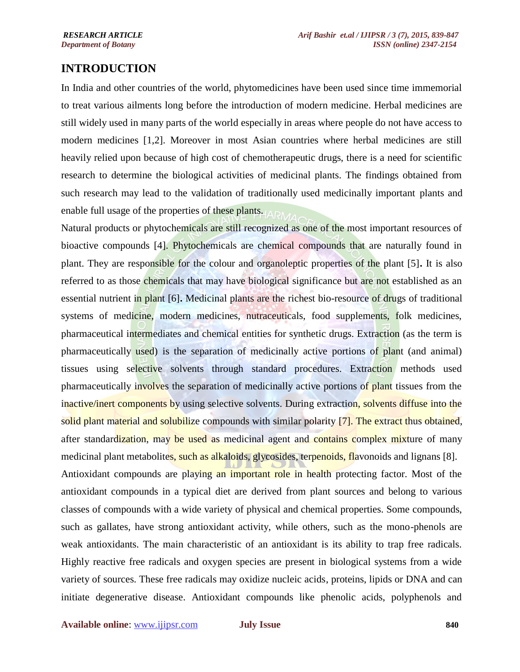# **INTRODUCTION**

In India and other countries of the world, phytomedicines have been used since time immemorial to treat various ailments long before the introduction of modern medicine. Herbal medicines are still widely used in many parts of the world especially in areas where people do not have access to modern medicines [1,2]. Moreover in most Asian countries where herbal medicines are still heavily relied upon because of high cost of chemotherapeutic drugs, there is a need for scientific research to determine the biological activities of medicinal plants. The findings obtained from such research may lead to the validation of traditionally used medicinally important plants and enable full usage of the properties of these plants.

Natural products or phytochemicals are still recognized as one of the most important resources of bioactive compounds [4]. Phytochemicals are chemical compounds that are naturally found in plant. They are responsible for the colour and organoleptic properties of the plant [5]**.** It is also referred to as those chemicals that may have biological significance but are not established as an essential nutrient in plant [6]**.** Medicinal plants are the richest bio-resource of drugs of traditional systems of medicine, modern medicines, nutraceuticals, food supplements, folk medicines, pharmaceutical intermediates and chemical entities for synthetic drugs. Extraction (as the term is pharmaceutically used) is the separation of medicinally active portions of plant (and animal) tissues using selective solvents through standard procedures. Extraction methods used pharmaceutically involves the separation of medicinally active portions of plant tissues from the inactive/inert components by using selective solvents. During extraction, solvents diffuse into the solid plant material and solubilize compounds with similar polarity [7]. The extract thus obtained, after standardization, may be used as medicinal agent and contains complex mixture of many medicinal plant metabolites, such as alkaloids, glycosides, terpenoids, flavonoids and lignans [8]. Antioxidant compounds are playing an important role in health protecting factor. Most of the antioxidant compounds in a typical diet are derived from plant sources and belong to various classes of compounds with a wide variety of physical and chemical properties. Some compounds, such as gallates, have strong antioxidant activity, while others, such as the mono-phenols are weak antioxidants. The main characteristic of an antioxidant is its ability to trap free radicals. Highly reactive free radicals and oxygen species are present in biological systems from a wide variety of sources. These free radicals may oxidize nucleic acids, proteins, lipids or DNA and can initiate degenerative disease. Antioxidant compounds like phenolic acids, polyphenols and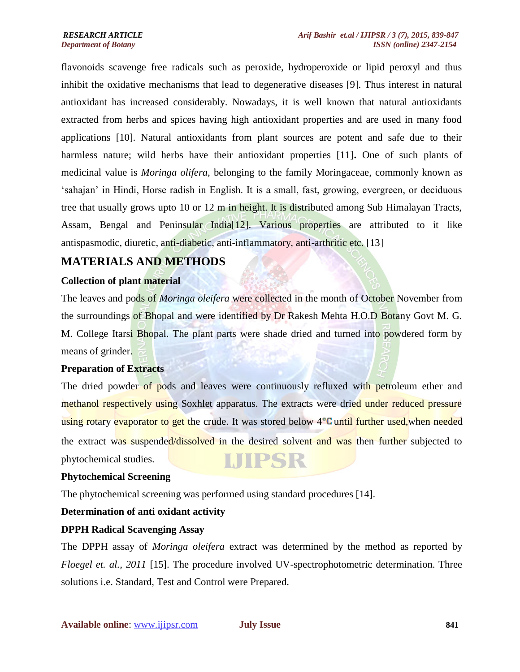flavonoids scavenge free radicals such as peroxide, hydroperoxide or lipid peroxyl and thus inhibit the oxidative mechanisms that lead to degenerative diseases [9]. Thus interest in natural antioxidant has increased considerably. Nowadays, it is well known that natural antioxidants extracted from herbs and spices having high antioxidant properties and are used in many food applications [10]. Natural antioxidants from plant sources are potent and safe due to their harmless nature; wild herbs have their antioxidant properties [11]**.** One of such plants of medicinal value is *Moringa olifera,* belonging to the family Moringaceae, commonly known as 'sahajan' in Hindi, Horse radish in English. It is a small, fast, growing, evergreen, or deciduous tree that usually grows upto 10 or 12 m in height. It is distributed among Sub Himalayan Tracts, Assam, Bengal and Peninsular India[12]. Various properties are attributed to it like antispasmodic, diuretic, anti-diabetic, anti-inflammatory, anti-arthritic etc. [13]

# **MATERIALS AND METHODS**

#### **Collection of plant material**

The leaves and pods of *Moringa oleifera* were collected in the month of October November from the surroundings of Bhopal and were identified by Dr Rakesh Mehta H.O.D Botany Govt M. G. M. College Itarsi Bhopal. The plant parts were shade dried and turned into powdered form by means of grinder.

#### **Preparation of Extracts**

The dried powder of pods and leaves were continuously refluxed with petroleum ether and methanol respectively using Soxhlet apparatus. The extracts were dried under reduced pressure using rotary evaporator to get the crude. It was stored below 4°C until further used, when needed the extract was suspended/dissolved in the desired solvent and was then further subjected to **LJIPSR** phytochemical studies.

#### **Phytochemical Screening**

The phytochemical screening was performed using standard procedures [14].

#### **Determination of anti oxidant activity**

#### **DPPH Radical Scavenging Assay**

The DPPH assay of *Moringa oleifera* extract was determined by the method as reported by *Floegel et. al., 2011* [15]. The procedure involved UV-spectrophotometric determination. Three solutions i.e. Standard, Test and Control were Prepared.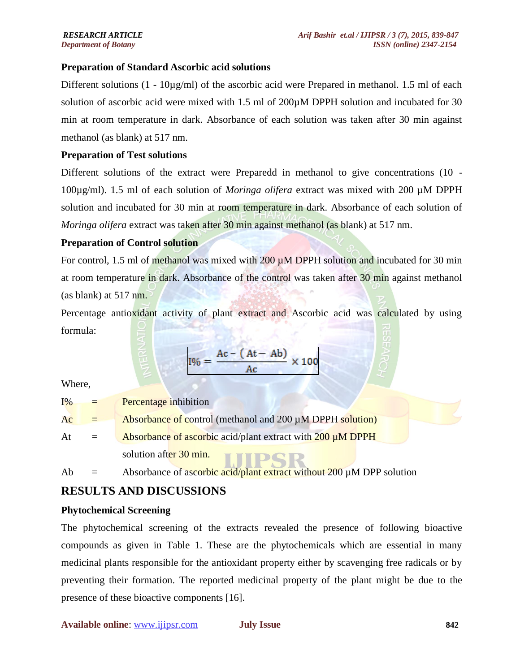#### **Preparation of Standard Ascorbic acid solutions**

Different solutions  $(1 - 10\mu\text{g/ml})$  of the ascorbic acid were Prepared in methanol. 1.5 ml of each solution of ascorbic acid were mixed with 1.5 ml of 200 $\mu$ M DPPH solution and incubated for 30 min at room temperature in dark. Absorbance of each solution was taken after 30 min against methanol (as blank) at 517 nm.

#### **Preparation of Test solutions**

Different solutions of the extract were Preparedd in methanol to give concentrations (10 - 100µg/ml). 1.5 ml of each solution of *Moringa olifera* extract was mixed with 200 µM DPPH solution and incubated for 30 min at room temperature in dark. Absorbance of each solution of *Moringa olifera* extract was taken after 30 min against methanol (as blank) at 517 nm.

#### **Preparation of Control solution**

For control, 1.5 ml of methanol was mixed with  $200 \mu M$  DPPH solution and incubated for 30 min at room temperature in dark. Absorbance of the control was taken after 30 min against methanol (as blank) at 517 nm.

Percentage antioxidant activity of plant extract and Ascorbic acid was calculated by using formula:

$$
I\% = \frac{Ac - (At - Ab)}{Ac} \times 100
$$

Where,

| $I\%$ | E.  | <b>Percentage inhibition</b>                                          |
|-------|-----|-----------------------------------------------------------------------|
| Ac    | $=$ | Absorbance of control (methanol and 200 µM DPPH solution)             |
| At    | $=$ | Absorbance of ascorbic acid/plant extract with 200 µM DPPH            |
|       |     | solution after 30 min.                                                |
| Ab    |     | Absorbance of ascorbic acid/plant extract without 200 µM DPP solution |

## **RESULTS AND DISCUSSIONS**

#### **Phytochemical Screening**

The phytochemical screening of the extracts revealed the presence of following bioactive compounds as given in Table 1. These are the phytochemicals which are essential in many medicinal plants responsible for the antioxidant property either by scavenging free radicals or by preventing their formation. The reported medicinal property of the plant might be due to the presence of these bioactive components [16].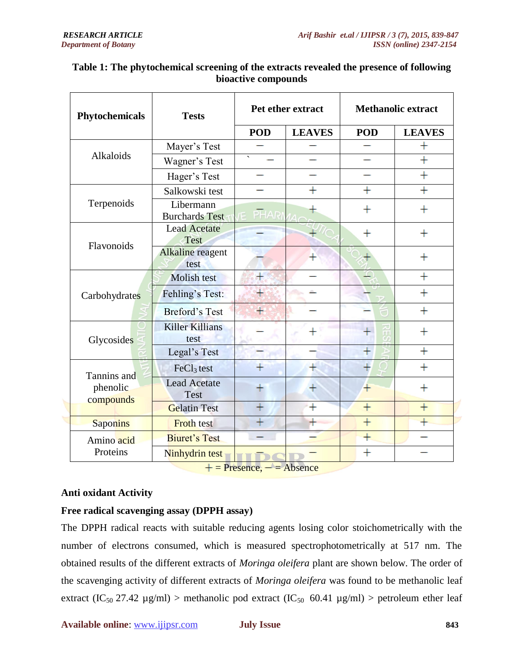| Phytochemicals        | <b>Tests</b>                       | Pet ether extract |                | <b>Methanolic extract</b> |                    |
|-----------------------|------------------------------------|-------------------|----------------|---------------------------|--------------------|
|                       |                                    | <b>POD</b>        | <b>LEAVES</b>  | <b>POD</b>                | <b>LEAVES</b>      |
|                       | Mayer's Test                       |                   |                |                           | $\, +$             |
| Alkaloids             | Wagner's Test                      |                   |                |                           | $\ddot{}$          |
|                       | Hager's Test                       |                   |                |                           | $\ddot{}$          |
|                       | Salkowski test                     |                   |                | $\mathrm{+}$              | $\hbox{ }$         |
| Terpenoids            | Libermann<br><b>Burchards Test</b> | <b>PHAR</b>       |                | ┿                         | $\,+\,$            |
| Flavonoids            | <b>Lead Acetate</b><br>Test        |                   |                | $^{+}$                    | $^{+}$             |
|                       | Alkaline reagent<br>test           |                   |                |                           | $\,+\,$            |
|                       | Molish test                        | $\pm$             |                |                           | $\ddot{}$          |
| Carbohydrates         | Fehling's Test:                    |                   |                |                           | $\ddot{}$          |
|                       | <b>Breford's Test</b>              |                   |                |                           | $^{+}$             |
| Glycosides            | <b>Killer Killians</b><br>test     |                   |                | īΤ                        | $\hspace{0.1mm} +$ |
|                       | Legal's Test                       |                   |                | $\ddot{}$                 | $\ddot{}$          |
| Tannins and           | FeCl <sub>3</sub> test             |                   |                |                           | $\ddot{}$          |
| phenolic<br>compounds | <b>Lead Acetate</b><br><b>Test</b> |                   | $\mathrm{+}$   | $\ddot{}$                 | $\pm$              |
|                       | <b>Gelatin Test</b>                | $^{+}$            | $\overline{+}$ | $\overline{+}$            | $\overline{+}$     |
| <b>Saponins</b>       | <b>Froth</b> test                  | $\ddot{}$         |                | $^{+}$                    |                    |
| Amino acid            | <b>Biuret's Test</b>               |                   |                | $\ddot{}$                 |                    |
| Proteins              | Ninhydrin test                     |                   |                | $\overline{+}$            |                    |

#### **Table 1: The phytochemical screening of the extracts revealed the presence of following bioactive compounds**

 $+=$  Presence,  $=$   $=$  Absence

#### **Anti oxidant Activity**

## **Free radical scavenging assay (DPPH assay)**

The DPPH radical reacts with suitable reducing agents losing color stoichometrically with the number of electrons consumed, which is measured spectrophotometrically at 517 nm. The obtained results of the different extracts of *Moringa oleifera* plant are shown below. The order of the scavenging activity of different extracts of *Moringa oleifera* was found to be methanolic leaf extract (IC<sub>50</sub> 27.42 µg/ml) > methanolic pod extract (IC<sub>50</sub> 60.41 µg/ml) > petroleum ether leaf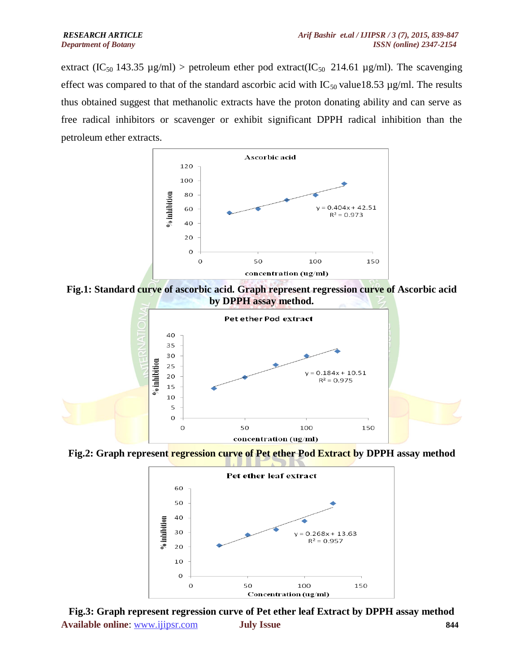extract (IC<sub>50</sub> 143.35 µg/ml) > petroleum ether pod extract(IC<sub>50</sub> 214.61 µg/ml). The scavenging effect was compared to that of the standard ascorbic acid with  $IC_{50}$  value18.53 µg/ml. The results thus obtained suggest that methanolic extracts have the proton donating ability and can serve as free radical inhibitors or scavenger or exhibit significant DPPH radical inhibition than the petroleum ether extracts.



**Fig.1: Standard curve of ascorbic acid. Graph represent regression curve of Ascorbic acid by DPPH assay method.**



**Fig.2: Graph represent regression curve of Pet ether Pod Extract by DPPH assay method**



**Available online**: www.ijipsr.com **July Issue 844 Fig.3: Graph represent regression curve of Pet ether leaf Extract by DPPH assay method**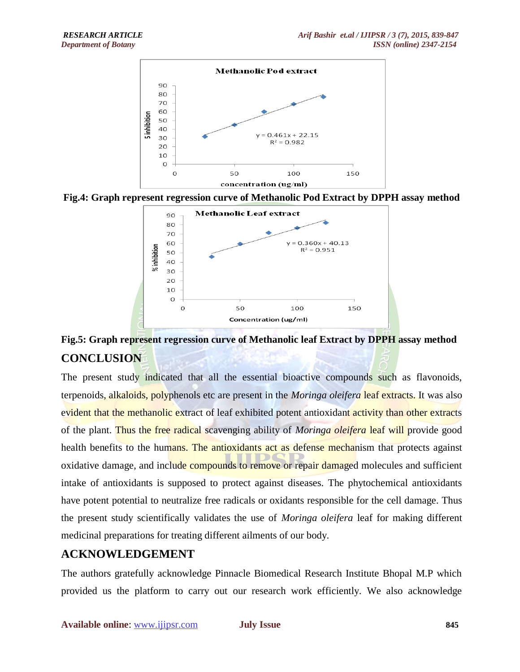





# **Fig.5: Graph represent regression curve of Methanolic leaf Extract by DPPH assay method CONCLUSION**

The present study indicated that all the essential bioactive compounds such as flavonoids, terpenoids, alkaloids, polyphenols etc are present in the *Moringa oleifera* leaf extracts. It was also evident that the methanolic extract of leaf exhibited potent antioxidant activity than other extracts of the plant. Thus the free radical scavenging ability of *Moringa oleifera* leaf will provide good health benefits to the humans. The antioxidants act as defense mechanism that protects against oxidative damage, and include compounds to remove or repair damaged molecules and sufficient intake of antioxidants is supposed to protect against diseases. The phytochemical antioxidants have potent potential to neutralize free radicals or oxidants responsible for the cell damage. Thus the present study scientifically validates the use of *Moringa oleifera* leaf for making different medicinal preparations for treating different ailments of our body.

# **ACKNOWLEDGEMENT**

The authors gratefully acknowledge Pinnacle Biomedical Research Institute Bhopal M.P which provided us the platform to carry out our research work efficiently. We also acknowledge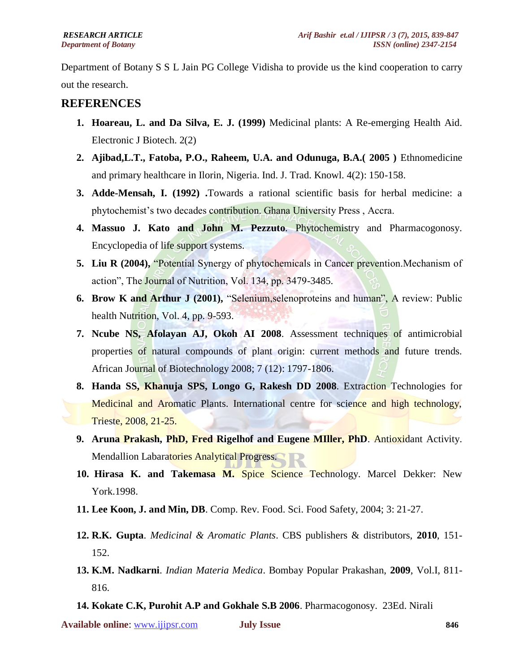Department of Botany S S L Jain PG College Vidisha to provide us the kind cooperation to carry out the research.

# **REFERENCES**

- **1. Hoareau, L. and Da Silva, E. J. (1999)** Medicinal plants: A Re-emerging Health Aid. Electronic J Biotech. 2(2)
- **2. Ajibad,L.T., Fatoba, P.O., Raheem, U.A. and Odunuga, B.A.( 2005 )** Ethnomedicine and primary healthcare in Ilorin, Nigeria. Ind. J. Trad. Knowl. 4(2): 150-158.
- **3. Adde-Mensah, I. (1992) .**Towards a rational scientific basis for herbal medicine: a phytochemist"s two decades contribution. Ghana University Press , Accra.
- **4. Massuo J. Kato and John M. Pezzuto**. Phytochemistry and Pharmacogonosy. Encyclopedia of life support systems.
- **5. Liu R (2004),** "Potential Synergy of phytochemicals in Cancer prevention.Mechanism of action", The Journal of Nutrition, Vol. 134, pp. 3479-3485.
- **6. Brow K and Arthur J (2001), "Selenium, selenoproteins and human", A review: Public** health Nutrition, Vol. 4, pp. 9-593.
- **7. Ncube NS, Afolayan AJ, Okoh AI 2008**. Assessment techniques of antimicrobial properties of natural compounds of plant origin: current methods and future trends. African Journal of Biotechnology 2008; 7 (12): 1797-1806.
- **8. Handa SS, Khanuja SPS, Longo G, Rakesh DD 2008**. Extraction Technologies for Medicinal and Aromatic Plants. International centre for science and high technology, Trieste, 2008, 21-25.
- **9. Aruna Prakash, PhD, Fred Rigelhof and Eugene MIller, PhD**. Antioxidant Activity. Mendallion Labaratories Analytical Progress.
- **10. Hirasa K. and Takemasa M.** Spice Science Technology. Marcel Dekker: New York.1998.
- **11. Lee Koon, J. and Min, DB**. Comp. Rev. Food. Sci. Food Safety, 2004; 3: 21-27.
- **12. R.K. Gupta**. *Medicinal & Aromatic Plants*. CBS publishers & distributors, **2010**, 151- 152.
- **13. K.M. Nadkarni**. *Indian Materia Medica*. Bombay Popular Prakashan, **2009**, Vol.I, 811- 816.
- **14. Kokate C.K, Purohit A.P and Gokhale S.B 2006**. Pharmacogonosy. 23Ed. Nirali

**Available online**: www.ijipsr.com **July Issue 846**